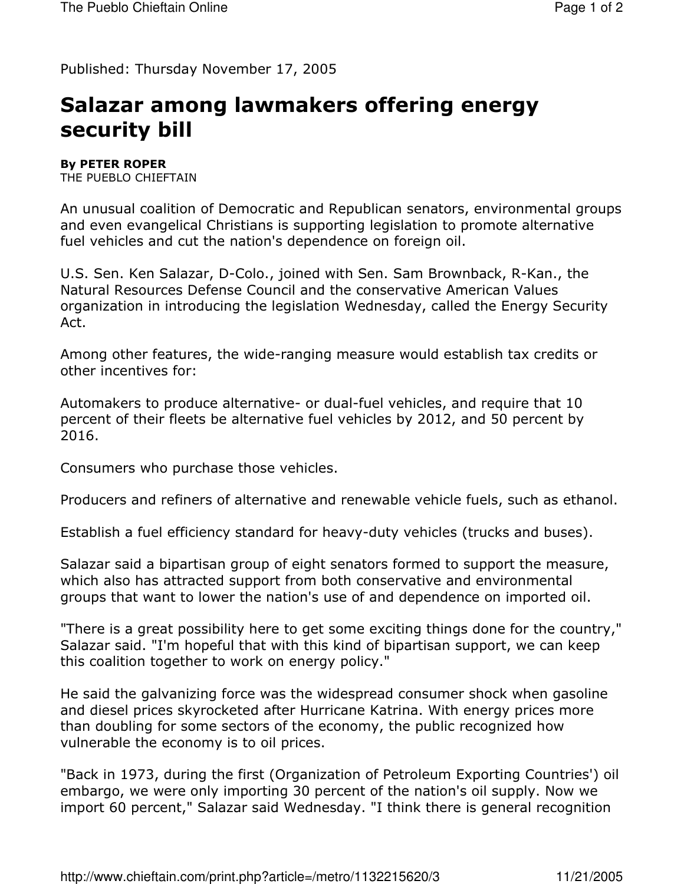Published: Thursday November 17, 2005

## Salazar among lawmakers offering energy security bill

**By PETER ROPER** 

THE PUEBLO CHIEFTAIN

An unusual coalition of Democratic and Republican senators, environmental groups and even evangelical Christians is supporting legislation to promote alternative fuel vehicles and cut the nation's dependence on foreign oil.

U.S. Sen. Ken Salazar, D-Colo., joined with Sen. Sam Brownback, R-Kan., the Natural Resources Defense Council and the conservative American Values organization in introducing the legislation Wednesday, called the Energy Security Act.

Among other features, the wide-ranging measure would establish tax credits or other incentives for:

Automakers to produce alternative- or dual-fuel vehicles, and require that 10 percent of their fleets be alternative fuel vehicles by 2012, and 50 percent by 2016.

Consumers who purchase those vehicles.

Producers and refiners of alternative and renewable vehicle fuels, such as ethanol.

Establish a fuel efficiency standard for heavy-duty vehicles (trucks and buses).

Salazar said a bipartisan group of eight senators formed to support the measure, which also has attracted support from both conservative and environmental groups that want to lower the nation's use of and dependence on imported oil.

"There is a great possibility here to get some exciting things done for the country," Salazar said. "I'm hopeful that with this kind of bipartisan support, we can keep this coalition together to work on energy policy."

He said the galvanizing force was the widespread consumer shock when gasoline and diesel prices skyrocketed after Hurricane Katrina. With energy prices more than doubling for some sectors of the economy, the public recognized how vulnerable the economy is to oil prices.

"Back in 1973, during the first (Organization of Petroleum Exporting Countries') oil embargo, we were only importing 30 percent of the nation's oil supply. Now we import 60 percent," Salazar said Wednesday. "I think there is general recognition